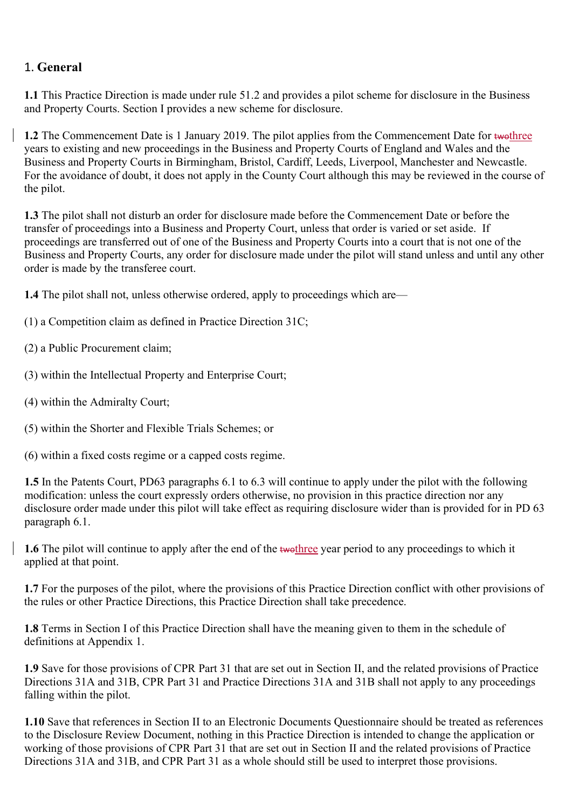# 1. General

 1.1 This Practice Direction is made under rule 51.2 and provides a pilot scheme for disclosure in the Business and Property Courts. Section I provides a new scheme for disclosure.

1.2 The Commencement Date is 1 January 2019. The pilot applies from the Commencement Date for two three years to existing and new proceedings in the Business and Property Courts of England and Wales and the Business and Property Courts in Birmingham, Bristol, Cardiff, Leeds, Liverpool, Manchester and Newcastle. For the avoidance of doubt, it does not apply in the County Court although this may be reviewed in the course of the pilot.

 1.3 The pilot shall not disturb an order for disclosure made before the Commencement Date or before the transfer of proceedings into a Business and Property Court, unless that order is varied or set aside. If proceedings are transferred out of one of the Business and Property Courts into a court that is not one of the Business and Property Courts, any order for disclosure made under the pilot will stand unless and until any other order is made by the transferee court.

1.4 The pilot shall not, unless otherwise ordered, apply to proceedings which are—

- (1) a Competition claim as defined in Practice Direction 31C;
- (2) a Public Procurement claim;
- (3) within the Intellectual Property and Enterprise Court;
- (4) within the Admiralty Court;
- (5) within the Shorter and Flexible Trials Schemes; or
- (6) within a fixed costs regime or a capped costs regime.

 1.5 In the Patents Court, PD63 paragraphs 6.1 to 6.3 will continue to apply under the pilot with the following modification: unless the court expressly orders otherwise, no provision in this practice direction nor any disclosure order made under this pilot will take effect as requiring disclosure wider than is provided for in PD 63 paragraph 6.1.

1.6 The pilot will continue to apply after the end of the twothree year period to any proceedings to which it applied at that point.

 1.7 For the purposes of the pilot, where the provisions of this Practice Direction conflict with other provisions of the rules or other Practice Directions, this Practice Direction shall take precedence.

1.8 Terms in Section I of this Practice Direction shall have the meaning given to them in the schedule of definitions at Appendix 1.

 1.9 Save for those provisions of CPR Part 31 that are set out in Section II, and the related provisions of Practice Directions 31A and 31B, CPR Part 31 and Practice Directions 31A and 31B shall not apply to any proceedings falling within the pilot.

 1.10 Save that references in Section II to an Electronic Documents Questionnaire should be treated as references to the Disclosure Review Document, nothing in this Practice Direction is intended to change the application or working of those provisions of CPR Part 31 that are set out in Section II and the related provisions of Practice Directions 31A and 31B, and CPR Part 31 as a whole should still be used to interpret those provisions.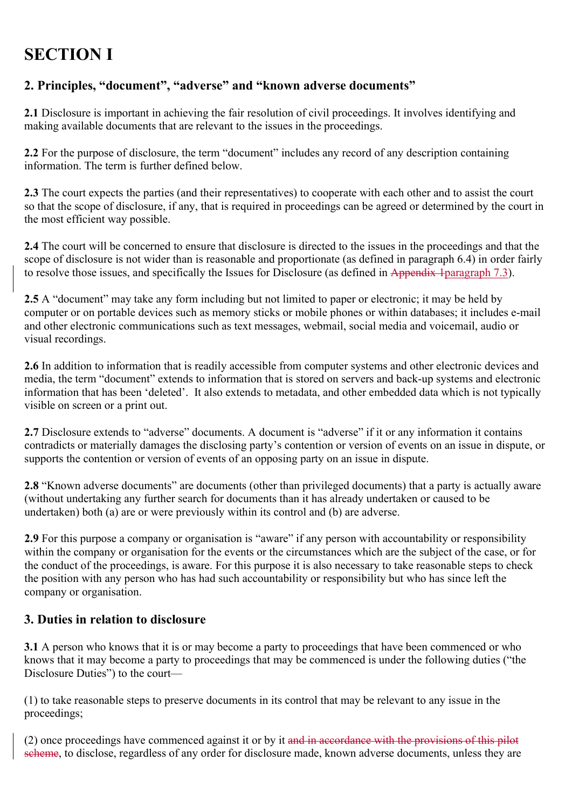# SECTION I

## 2. Principles, "document", "adverse" and "known adverse documents"

 2.1 Disclosure is important in achieving the fair resolution of civil proceedings. It involves identifying and making available documents that are relevant to the issues in the proceedings.

2.2 For the purpose of disclosure, the term "document" includes any record of any description containing information. The term is further defined below.

2.3 The court expects the parties (and their representatives) to cooperate with each other and to assist the court so that the scope of disclosure, if any, that is required in proceedings can be agreed or determined by the court in the most efficient way possible.

2.4 The court will be concerned to ensure that disclosure is directed to the issues in the proceedings and that the scope of disclosure is not wider than is reasonable and proportionate (as defined in paragraph 6.4) in order fairly to resolve those issues, and specifically the Issues for Disclosure (as defined in Appendix 1 paragraph 7.3).

2.5 A "document" may take any form including but not limited to paper or electronic; it may be held by computer or on portable devices such as memory sticks or mobile phones or within databases; it includes e-mail and other electronic communications such as text messages, webmail, social media and voicemail, audio or visual recordings.

2.6 In addition to information that is readily accessible from computer systems and other electronic devices and media, the term "document" extends to information that is stored on servers and back-up systems and electronic information that has been 'deleted'. It also extends to metadata, and other embedded data which is not typically visible on screen or a print out.

2.7 Disclosure extends to "adverse" documents. A document is "adverse" if it or any information it contains contradicts or materially damages the disclosing party's contention or version of events on an issue in dispute, or supports the contention or version of events of an opposing party on an issue in dispute.

2.8 "Known adverse documents" are documents (other than privileged documents) that a party is actually aware (without undertaking any further search for documents than it has already undertaken or caused to be undertaken) both (a) are or were previously within its control and (b) are adverse.

2.9 For this purpose a company or organisation is "aware" if any person with accountability or responsibility within the company or organisation for the events or the circumstances which are the subject of the case, or for the conduct of the proceedings, is aware. For this purpose it is also necessary to take reasonable steps to check the position with any person who has had such accountability or responsibility but who has since left the company or organisation.

## 3. Duties in relation to disclosure

3.1 A person who knows that it is or may become a party to proceedings that have been commenced or who knows that it may become a party to proceedings that may be commenced is under the following duties ("the Disclosure Duties") to the court—

 (1) to take reasonable steps to preserve documents in its control that may be relevant to any issue in the proceedings;

(2) once proceedings have commenced against it or by it and in accordance with the provisions of this pilot scheme, to disclose, regardless of any order for disclosure made, known adverse documents, unless they are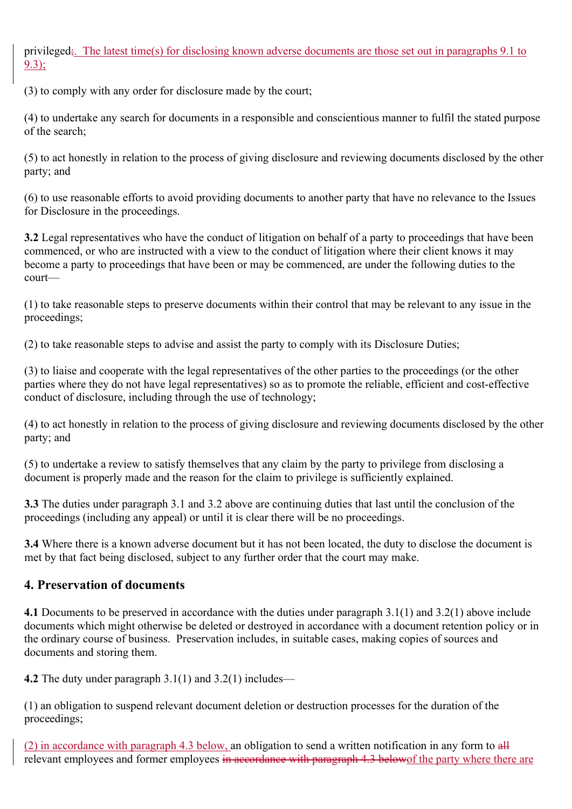privileged; The latest time(s) for disclosing known adverse documents are those set out in paragraphs 9.1 to 9.3);

(3) to comply with any order for disclosure made by the court;

 (4) to undertake any search for documents in a responsible and conscientious manner to fulfil the stated purpose of the search;

 (5) to act honestly in relation to the process of giving disclosure and reviewing documents disclosed by the other party; and

 for Disclosure in the proceedings. (6) to use reasonable efforts to avoid providing documents to another party that have no relevance to the Issues

3.2 Legal representatives who have the conduct of litigation on behalf of a party to proceedings that have been commenced, or who are instructed with a view to the conduct of litigation where their client knows it may become a party to proceedings that have been or may be commenced, are under the following duties to the court—

 (1) to take reasonable steps to preserve documents within their control that may be relevant to any issue in the proceedings;

(2) to take reasonable steps to advise and assist the party to comply with its Disclosure Duties;

 (3) to liaise and cooperate with the legal representatives of the other parties to the proceedings (or the other parties where they do not have legal representatives) so as to promote the reliable, efficient and cost-effective conduct of disclosure, including through the use of technology;

 (4) to act honestly in relation to the process of giving disclosure and reviewing documents disclosed by the other party; and

 document is properly made and the reason for the claim to privilege is sufficiently explained. (5) to undertake a review to satisfy themselves that any claim by the party to privilege from disclosing a

 3.3 The duties under paragraph 3.1 and 3.2 above are continuing duties that last until the conclusion of the proceedings (including any appeal) or until it is clear there will be no proceedings.

 3.4 Where there is a known adverse document but it has not been located, the duty to disclose the document is met by that fact being disclosed, subject to any further order that the court may make.

## 4. Preservation of documents

4.1 Documents to be preserved in accordance with the duties under paragraph 3.1(1) and 3.2(1) above include documents which might otherwise be deleted or destroyed in accordance with a document retention policy or in the ordinary course of business. Preservation includes, in suitable cases, making copies of sources and documents and storing them.

4.2 The duty under paragraph 3.1(1) and 3.2(1) includes—

 (1) an obligation to suspend relevant document deletion or destruction processes for the duration of the proceedings;

(2) in accordance with paragraph 4.3 below, an obligation to send a written notification in any form to all relevant employees and former employees <del>in accordance with paragraph 4.3 below</del>of the party where there are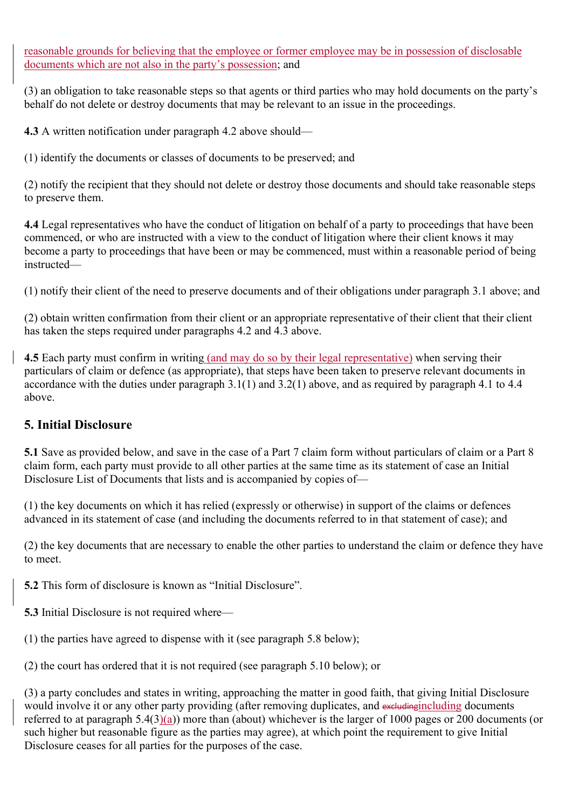reasonable grounds for believing that the employee or former employee may be in possession of disclosable documents which are not also in the party's possession; and

 (3) an obligation to take reasonable steps so that agents or third parties who may hold documents on the party's behalf do not delete or destroy documents that may be relevant to an issue in the proceedings.

4.3 A written notification under paragraph 4.2 above should—

(1) identify the documents or classes of documents to be preserved; and

 (2) notify the recipient that they should not delete or destroy those documents and should take reasonable steps to preserve them.

4.4 Legal representatives who have the conduct of litigation on behalf of a party to proceedings that have been commenced, or who are instructed with a view to the conduct of litigation where their client knows it may become a party to proceedings that have been or may be commenced, must within a reasonable period of being instructed—

(1) notify their client of the need to preserve documents and of their obligations under paragraph 3.1 above; and

 (2) obtain written confirmation from their client or an appropriate representative of their client that their client has taken the steps required under paragraphs 4.2 and 4.3 above.

4.5 Each party must confirm in writing (and may do so by their legal representative) when serving their particulars of claim or defence (as appropriate), that steps have been taken to preserve relevant documents in accordance with the duties under paragraph 3.1(1) and 3.2(1) above, and as required by paragraph 4.1 to 4.4 above.

## 5. Initial Disclosure

 5.1 Save as provided below, and save in the case of a Part 7 claim form without particulars of claim or a Part 8 claim form, each party must provide to all other parties at the same time as its statement of case an Initial Disclosure List of Documents that lists and is accompanied by copies of—

 (1) the key documents on which it has relied (expressly or otherwise) in support of the claims or defences advanced in its statement of case (and including the documents referred to in that statement of case); and

 (2) the key documents that are necessary to enable the other parties to understand the claim or defence they have to meet.

5.2 This form of disclosure is known as "Initial Disclosure".

5.3 Initial Disclosure is not required where—

(1) the parties have agreed to dispense with it (see paragraph 5.8 below);

(2) the court has ordered that it is not required (see paragraph 5.10 below); or

 (3) a party concludes and states in writing, approaching the matter in good faith, that giving Initial Disclosure would involve it or any other party providing (after removing duplicates, and excludingincluding documents referred to at paragraph 5.4(3) $(a)$ ) more than (about) whichever is the larger of 1000 pages or 200 documents (or such higher but reasonable figure as the parties may agree), at which point the requirement to give Initial Disclosure ceases for all parties for the purposes of the case.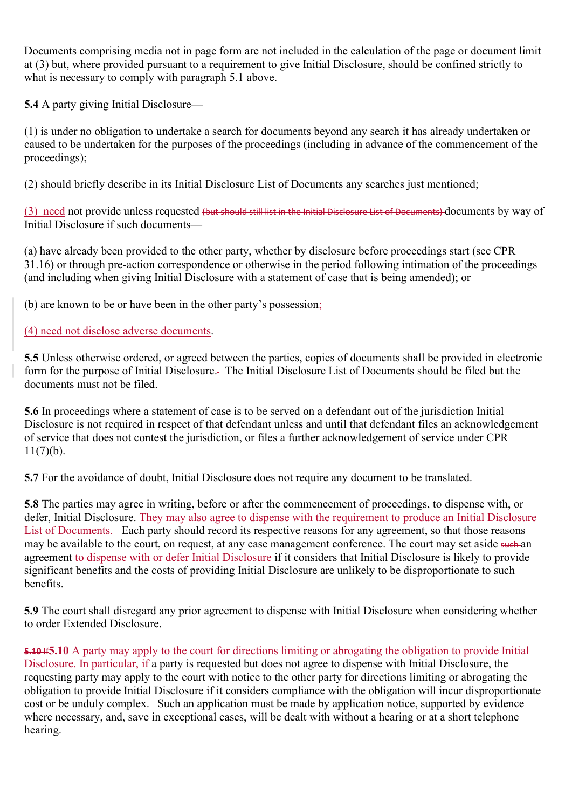Documents comprising media not in page form are not included in the calculation of the page or document limit at (3) but, where provided pursuant to a requirement to give Initial Disclosure, should be confined strictly to what is necessary to comply with paragraph 5.1 above.

5.4 A party giving Initial Disclosure—

 (1) is under no obligation to undertake a search for documents beyond any search it has already undertaken or caused to be undertaken for the purposes of the proceedings (including in advance of the commencement of the proceedings);

(2) should briefly describe in its Initial Disclosure List of Documents any searches just mentioned;

(3) need not provide unless requested <del>(but should still list in the Initial Disclosure List of Documents)</del> documents by way of Initial Disclosure if such documents—

 (a) have already been provided to the other party, whether by disclosure before proceedings start (see CPR 31.16) or through pre-action correspondence or otherwise in the period following intimation of the proceedings (and including when giving Initial Disclosure with a statement of case that is being amended); or

(b) are known to be or have been in the other party's possession;

#### (4) need not disclose adverse documents.

 5.5 Unless otherwise ordered, or agreed between the parties, copies of documents shall be provided in electronic form for the purpose of Initial Disclosure.- The Initial Disclosure List of Documents should be filed but the documents must not be filed.

 5.6 In proceedings where a statement of case is to be served on a defendant out of the jurisdiction Initial Disclosure is not required in respect of that defendant unless and until that defendant files an acknowledgement of service that does not contest the jurisdiction, or files a further acknowledgement of service under CPR  $11(7)(b)$ .

5.7 For the avoidance of doubt, Initial Disclosure does not require any document to be translated.

 5.8 The parties may agree in writing, before or after the commencement of proceedings, to dispense with, or defer, Initial Disclosure. They may also agree to dispense with the requirement to produce an Initial Disclosure List of Documents. Each party should record its respective reasons for any agreement, so that those reasons may be available to the court, on request, at any case management conference. The court may set aside such an agreement to dispense with or defer Initial Disclosure if it considers that Initial Disclosure is likely to provide significant benefits and the costs of providing Initial Disclosure are unlikely to be disproportionate to such benefits.

 5.9 The court shall disregard any prior agreement to dispense with Initial Disclosure when considering whether to order Extended Disclosure.

5.10 If 5.10 A party may apply to the court for directions limiting or abrogating the obligation to provide Initial Disclosure. In particular, if a party is requested but does not agree to dispense with Initial Disclosure, the requesting party may apply to the court with notice to the other party for directions limiting or abrogating the obligation to provide Initial Disclosure if it considers compliance with the obligation will incur disproportionate cost or be unduly complex.-\_Such an application must be made by application notice, supported by evidence where necessary, and, save in exceptional cases, will be dealt with without a hearing or at a short telephone hearing.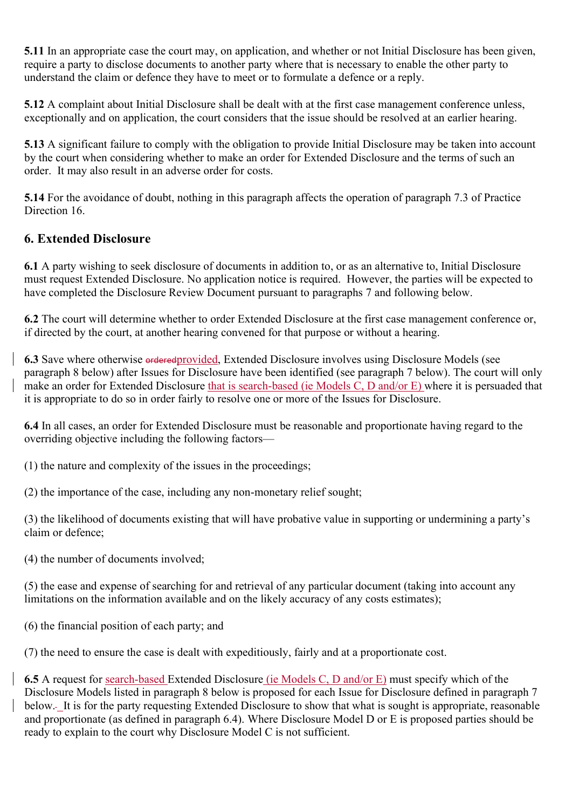5.11 In an appropriate case the court may, on application, and whether or not Initial Disclosure has been given, require a party to disclose documents to another party where that is necessary to enable the other party to understand the claim or defence they have to meet or to formulate a defence or a reply.

5.12 A complaint about Initial Disclosure shall be dealt with at the first case management conference unless, exceptionally and on application, the court considers that the issue should be resolved at an earlier hearing.

 5.13 A significant failure to comply with the obligation to provide Initial Disclosure may be taken into account by the court when considering whether to make an order for Extended Disclosure and the terms of such an order. It may also result in an adverse order for costs.

 Direction 16. 5.14 For the avoidance of doubt, nothing in this paragraph affects the operation of paragraph 7.3 of Practice

## 6. Extended Disclosure

 6.1 A party wishing to seek disclosure of documents in addition to, or as an alternative to, Initial Disclosure must request Extended Disclosure. No application notice is required. However, the parties will be expected to have completed the Disclosure Review Document pursuant to paragraphs 7 and following below.

 6.2 The court will determine whether to order Extended Disclosure at the first case management conference or, if directed by the court, at another hearing convened for that purpose or without a hearing.

6.3 Save where otherwise orderedprovided, Extended Disclosure involves using Disclosure Models (see paragraph 8 below) after Issues for Disclosure have been identified (see paragraph 7 below). The court will only make an order for Extended Disclosure that is search-based (ie Models C, D and/or E) where it is persuaded that it is appropriate to do so in order fairly to resolve one or more of the Issues for Disclosure.

 6.4 In all cases, an order for Extended Disclosure must be reasonable and proportionate having regard to the overriding objective including the following factors—

(1) the nature and complexity of the issues in the proceedings;

(2) the importance of the case, including any non-monetary relief sought;

 (3) the likelihood of documents existing that will have probative value in supporting or undermining a party's claim or defence;

(4) the number of documents involved;

 (5) the ease and expense of searching for and retrieval of any particular document (taking into account any limitations on the information available and on the likely accuracy of any costs estimates);

(6) the financial position of each party; and

(7) the need to ensure the case is dealt with expeditiously, fairly and at a proportionate cost.

6.5 A request for search-based Extended Disclosure (ie Models C, D and/or E) must specify which of the Disclosure Models listed in paragraph 8 below is proposed for each Issue for Disclosure defined in paragraph 7 below.-\_It is for the party requesting Extended Disclosure to show that what is sought is appropriate, reasonable and proportionate (as defined in paragraph 6.4). Where Disclosure Model D or E is proposed parties should be ready to explain to the court why Disclosure Model C is not sufficient.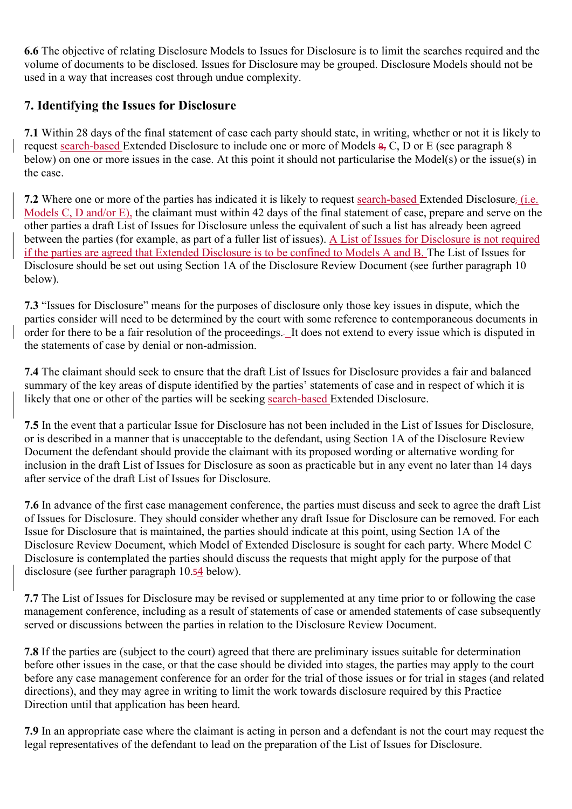6.6 The objective of relating Disclosure Models to Issues for Disclosure is to limit the searches required and the volume of documents to be disclosed. Issues for Disclosure may be grouped. Disclosure Models should not be used in a way that increases cost through undue complexity.

## 7. Identifying the Issues for Disclosure

 7.1 Within 28 days of the final statement of case each party should state, in writing, whether or not it is likely to request search-based Extended Disclosure to include one or more of Models  $\frac{B}{B}$ , C, D or E (see paragraph 8 below) on one or more issues in the case. At this point it should not particularise the Model(s) or the issue(s) in the case.

7.2 Where one or more of the parties has indicated it is likely to request search-based Extended Disclosure, (i.e. Models C, D and/or E), the claimant must within 42 days of the final statement of case, prepare and serve on the other parties a draft List of Issues for Disclosure unless the equivalent of such a list has already been agreed between the parties (for example, as part of a fuller list of issues). A List of Issues for Disclosure is not required if the parties are agreed that Extended Disclosure is to be confined to Models A and B. The List of Issues for Disclosure should be set out using Section 1A of the Disclosure Review Document (see further paragraph 10 below).

 7.3 "Issues for Disclosure" means for the purposes of disclosure only those key issues in dispute, which the parties consider will need to be determined by the court with some reference to contemporaneous documents in order for there to be a fair resolution of the proceedings.-\_It does not extend to every issue which is disputed in the statements of case by denial or non-admission.

 7.4 The claimant should seek to ensure that the draft List of Issues for Disclosure provides a fair and balanced summary of the key areas of dispute identified by the parties' statements of case and in respect of which it is likely that one or other of the parties will be seeking search-based Extended Disclosure.

 7.5 In the event that a particular Issue for Disclosure has not been included in the List of Issues for Disclosure, or is described in a manner that is unacceptable to the defendant, using Section 1A of the Disclosure Review Document the defendant should provide the claimant with its proposed wording or alternative wording for inclusion in the draft List of Issues for Disclosure as soon as practicable but in any event no later than 14 days after service of the draft List of Issues for Disclosure.

 7.6 In advance of the first case management conference, the parties must discuss and seek to agree the draft List of Issues for Disclosure. They should consider whether any draft Issue for Disclosure can be removed. For each Issue for Disclosure that is maintained, the parties should indicate at this point, using Section 1A of the Disclosure Review Document, which Model of Extended Disclosure is sought for each party. Where Model C Disclosure is contemplated the parties should discuss the requests that might apply for the purpose of that disclosure (see further paragraph 10.54 below).

 7.7 The List of Issues for Disclosure may be revised or supplemented at any time prior to or following the case management conference, including as a result of statements of case or amended statements of case subsequently served or discussions between the parties in relation to the Disclosure Review Document.

 7.8 If the parties are (subject to the court) agreed that there are preliminary issues suitable for determination before other issues in the case, or that the case should be divided into stages, the parties may apply to the court before any case management conference for an order for the trial of those issues or for trial in stages (and related directions), and they may agree in writing to limit the work towards disclosure required by this Practice Direction until that application has been heard.

 7.9 In an appropriate case where the claimant is acting in person and a defendant is not the court may request the legal representatives of the defendant to lead on the preparation of the List of Issues for Disclosure.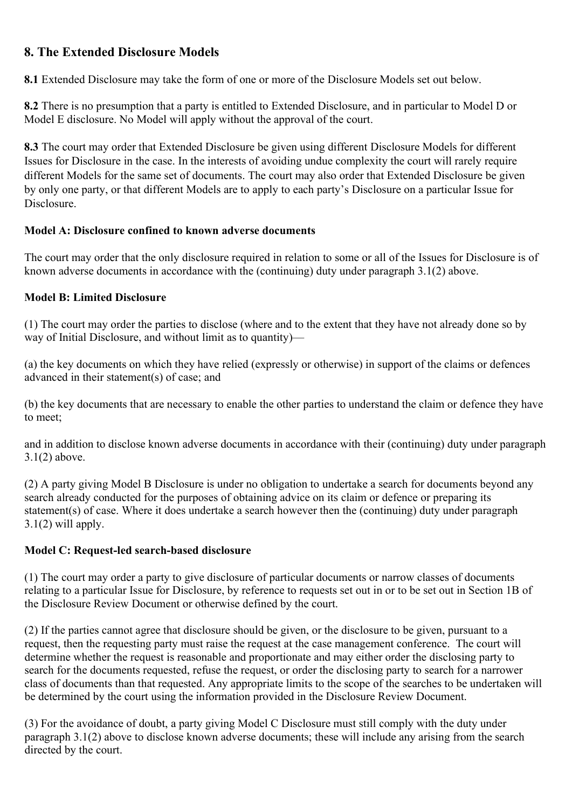## 8. The Extended Disclosure Models

8.1 Extended Disclosure may take the form of one or more of the Disclosure Models set out below.

8.2 There is no presumption that a party is entitled to Extended Disclosure, and in particular to Model D or Model E disclosure. No Model will apply without the approval of the court.

8.3 The court may order that Extended Disclosure be given using different Disclosure Models for different Issues for Disclosure in the case. In the interests of avoiding undue complexity the court will rarely require different Models for the same set of documents. The court may also order that Extended Disclosure be given by only one party, or that different Models are to apply to each party's Disclosure on a particular Issue for Disclosure.

#### Model A: Disclosure confined to known adverse documents

 The court may order that the only disclosure required in relation to some or all of the Issues for Disclosure is of known adverse documents in accordance with the (continuing) duty under paragraph 3.1(2) above.

#### Model B: Limited Disclosure

 (1) The court may order the parties to disclose (where and to the extent that they have not already done so by way of Initial Disclosure, and without limit as to quantity)—

 (a) the key documents on which they have relied (expressly or otherwise) in support of the claims or defences advanced in their statement(s) of case; and

 (b) the key documents that are necessary to enable the other parties to understand the claim or defence they have to meet;

 and in addition to disclose known adverse documents in accordance with their (continuing) duty under paragraph 3.1(2) above.

 (2) A party giving Model B Disclosure is under no obligation to undertake a search for documents beyond any search already conducted for the purposes of obtaining advice on its claim or defence or preparing its statement(s) of case. Where it does undertake a search however then the (continuing) duty under paragraph  $3.1(2)$  will apply.

#### Model C: Request-led search-based disclosure

 (1) The court may order a party to give disclosure of particular documents or narrow classes of documents relating to a particular Issue for Disclosure, by reference to requests set out in or to be set out in Section 1B of the Disclosure Review Document or otherwise defined by the court.

 (2) If the parties cannot agree that disclosure should be given, or the disclosure to be given, pursuant to a request, then the requesting party must raise the request at the case management conference. The court will determine whether the request is reasonable and proportionate and may either order the disclosing party to search for the documents requested, refuse the request, or order the disclosing party to search for a narrower class of documents than that requested. Any appropriate limits to the scope of the searches to be undertaken will be determined by the court using the information provided in the Disclosure Review Document.

 (3) For the avoidance of doubt, a party giving Model C Disclosure must still comply with the duty under paragraph 3.1(2) above to disclose known adverse documents; these will include any arising from the search directed by the court.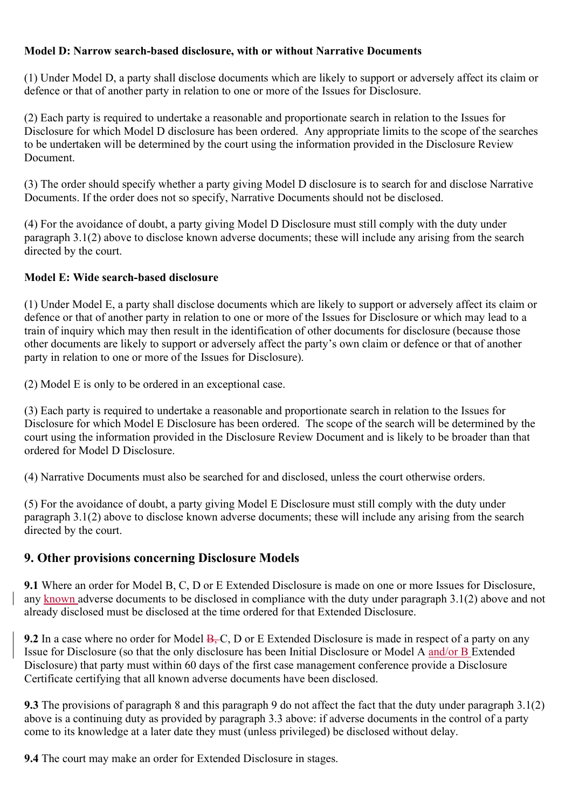#### Model D: Narrow search-based disclosure, with or without Narrative Documents

 (1) Under Model D, a party shall disclose documents which are likely to support or adversely affect its claim or defence or that of another party in relation to one or more of the Issues for Disclosure.

 (2) Each party is required to undertake a reasonable and proportionate search in relation to the Issues for Disclosure for which Model D disclosure has been ordered. Any appropriate limits to the scope of the searches to be undertaken will be determined by the court using the information provided in the Disclosure Review Document.

 (3) The order should specify whether a party giving Model D disclosure is to search for and disclose Narrative Documents. If the order does not so specify, Narrative Documents should not be disclosed.

 paragraph 3.1(2) above to disclose known adverse documents; these will include any arising from the search directed by the court. (4) For the avoidance of doubt, a party giving Model D Disclosure must still comply with the duty under

#### Model E: Wide search-based disclosure

 (1) Under Model E, a party shall disclose documents which are likely to support or adversely affect its claim or defence or that of another party in relation to one or more of the Issues for Disclosure or which may lead to a train of inquiry which may then result in the identification of other documents for disclosure (because those other documents are likely to support or adversely affect the party's own claim or defence or that of another party in relation to one or more of the Issues for Disclosure).

(2) Model E is only to be ordered in an exceptional case.

 (3) Each party is required to undertake a reasonable and proportionate search in relation to the Issues for Disclosure for which Model E Disclosure has been ordered. The scope of the search will be determined by the court using the information provided in the Disclosure Review Document and is likely to be broader than that ordered for Model D Disclosure.

(4) Narrative Documents must also be searched for and disclosed, unless the court otherwise orders.

 (5) For the avoidance of doubt, a party giving Model E Disclosure must still comply with the duty under paragraph 3.1(2) above to disclose known adverse documents; these will include any arising from the search directed by the court.

#### 9. Other provisions concerning Disclosure Models

 9.1 Where an order for Model B, C, D or E Extended Disclosure is made on one or more Issues for Disclosure, any known adverse documents to be disclosed in compliance with the duty under paragraph 3.1(2) above and not already disclosed must be disclosed at the time ordered for that Extended Disclosure.

9.2 In a case where no order for Model B, C, D or E Extended Disclosure is made in respect of a party on any Issue for Disclosure (so that the only disclosure has been Initial Disclosure or Model A and/or B Extended Disclosure) that party must within 60 days of the first case management conference provide a Disclosure Certificate certifying that all known adverse documents have been disclosed.

9.3 The provisions of paragraph 8 and this paragraph 9 do not affect the fact that the duty under paragraph 3.1(2) above is a continuing duty as provided by paragraph 3.3 above: if adverse documents in the control of a party come to its knowledge at a later date they must (unless privileged) be disclosed without delay.

9.4 The court may make an order for Extended Disclosure in stages.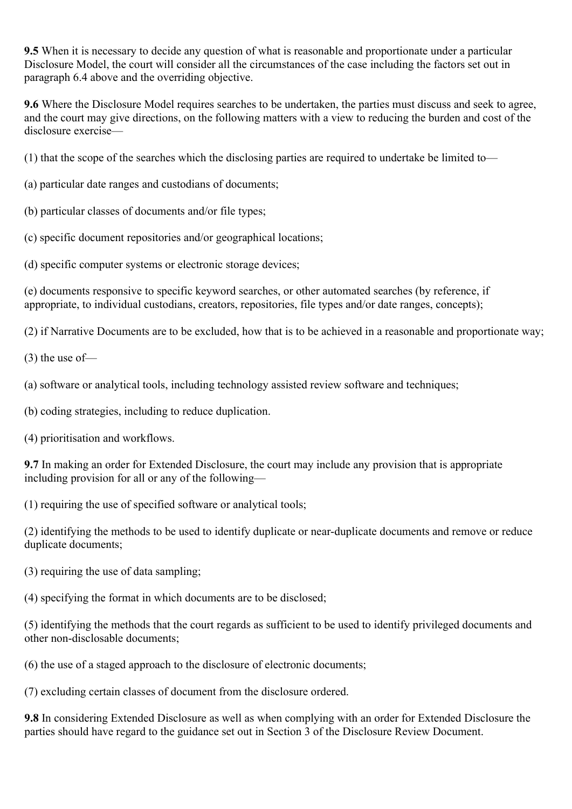9.5 When it is necessary to decide any question of what is reasonable and proportionate under a particular Disclosure Model, the court will consider all the circumstances of the case including the factors set out in paragraph 6.4 above and the overriding objective.

 9.6 Where the Disclosure Model requires searches to be undertaken, the parties must discuss and seek to agree, and the court may give directions, on the following matters with a view to reducing the burden and cost of the disclosure exercise—

(1) that the scope of the searches which the disclosing parties are required to undertake be limited to—

- (a) particular date ranges and custodians of documents;
- (b) particular classes of documents and/or file types;
- (c) specific document repositories and/or geographical locations;
- (d) specific computer systems or electronic storage devices;

 (e) documents responsive to specific keyword searches, or other automated searches (by reference, if appropriate, to individual custodians, creators, repositories, file types and/or date ranges, concepts);

(2) if Narrative Documents are to be excluded, how that is to be achieved in a reasonable and proportionate way;

(3) the use of—

- (a) software or analytical tools, including technology assisted review software and techniques;
- (b) coding strategies, including to reduce duplication.
- (4) prioritisation and workflows.

 9.7 In making an order for Extended Disclosure, the court may include any provision that is appropriate including provision for all or any of the following—

(1) requiring the use of specified software or analytical tools;

 (2) identifying the methods to be used to identify duplicate or near-duplicate documents and remove or reduce duplicate documents;

(3) requiring the use of data sampling;

(4) specifying the format in which documents are to be disclosed;

 (5) identifying the methods that the court regards as sufficient to be used to identify privileged documents and other non-disclosable documents;

(6) the use of a staged approach to the disclosure of electronic documents;

(7) excluding certain classes of document from the disclosure ordered.

 9.8 In considering Extended Disclosure as well as when complying with an order for Extended Disclosure the parties should have regard to the guidance set out in Section 3 of the Disclosure Review Document.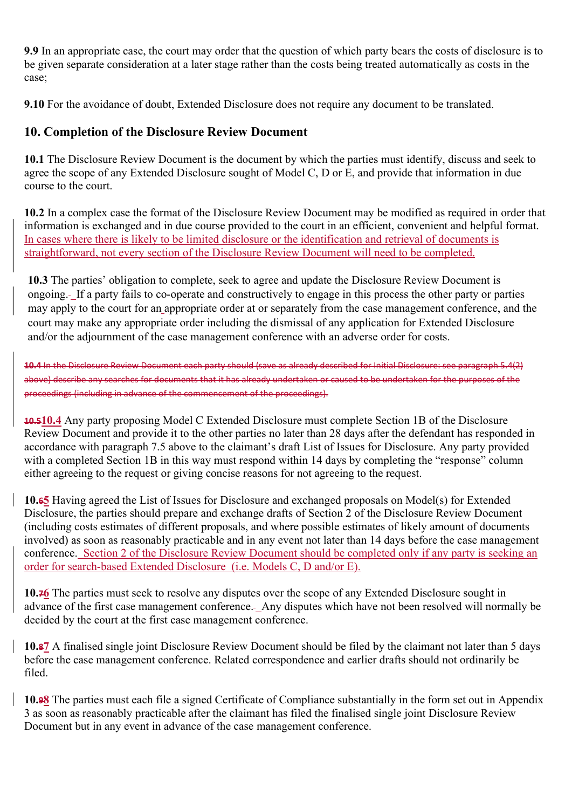9.9 In an appropriate case, the court may order that the question of which party bears the costs of disclosure is to be given separate consideration at a later stage rather than the costs being treated automatically as costs in the case;

9.10 For the avoidance of doubt, Extended Disclosure does not require any document to be translated.

#### 10. Completion of the Disclosure Review Document

 10.1 The Disclosure Review Document is the document by which the parties must identify, discuss and seek to agree the scope of any Extended Disclosure sought of Model C, D or E, and provide that information in due course to the court.

 10.2 In a complex case the format of the Disclosure Review Document may be modified as required in order that information is exchanged and in due course provided to the court in an efficient, convenient and helpful format. In cases where there is likely to be limited disclosure or the identification and retrieval of documents is straightforward, not every section of the Disclosure Review Document will need to be completed.

10.3 The parties' obligation to complete, seek to agree and update the Disclosure Review Document is ongoing. If a party fails to co-operate and constructively to engage in this process the other party or parties may apply to the court for an appropriate order at or separately from the case management conference, and the court may make any appropriate order including the dismissal of any application for Extended Disclosure and/or the adjournment of the case management conference with an adverse order for costs.

 10.4 In the Disclosure Review Document each party should (save as already described for Initial Disclosure: see paragraph 5.4(2) above) describe any searches for documents that it has already undertaken or caused to be undertaken for the purposes of the proceedings (including in advance of the commencement of the proceedings).

10.4 Any party proposing Model C Extended Disclosure must complete Section 1B of the Disclosure Review Document and provide it to the other parties no later than 28 days after the defendant has responded in accordance with paragraph 7.5 above to the claimant's draft List of Issues for Disclosure. Any party provided with a completed Section 1B in this way must respond within 14 days by completing the "response" column either agreeing to the request or giving concise reasons for not agreeing to the request.

10.65 Having agreed the List of Issues for Disclosure and exchanged proposals on Model(s) for Extended Disclosure, the parties should prepare and exchange drafts of Section 2 of the Disclosure Review Document (including costs estimates of different proposals, and where possible estimates of likely amount of documents involved) as soon as reasonably practicable and in any event not later than 14 days before the case management conference. Section 2 of the Disclosure Review Document should be completed only if any party is seeking an order for search-based Extended Disclosure (i.e. Models C, D and/or E).

10.<sup>76</sup> The parties must seek to resolve any disputes over the scope of any Extended Disclosure sought in advance of the first case management conference.-\_Any disputes which have not been resolved will normally be decided by the court at the first case management conference.

10.87 A finalised single joint Disclosure Review Document should be filed by the claimant not later than 5 days before the case management conference. Related correspondence and earlier drafts should not ordinarily be filed.

10.98 The parties must each file a signed Certificate of Compliance substantially in the form set out in Appendix 3 as soon as reasonably practicable after the claimant has filed the finalised single joint Disclosure Review Document but in any event in advance of the case management conference.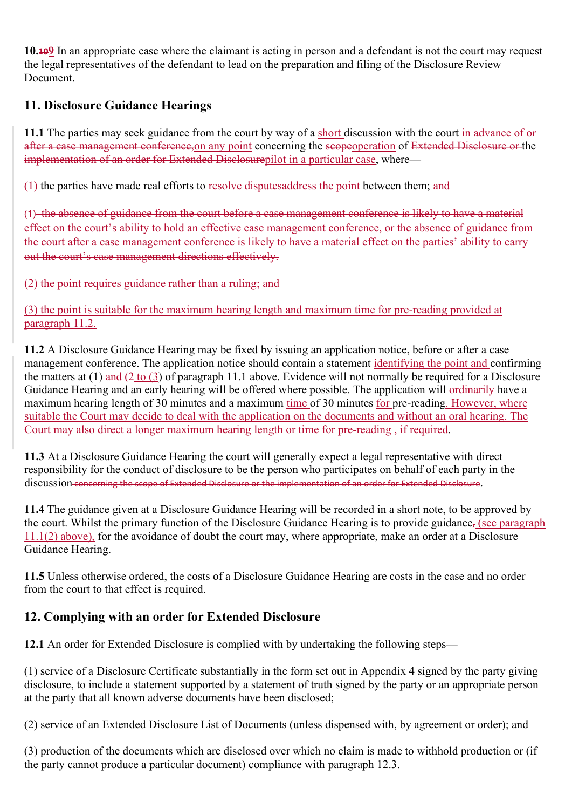10.409 In an appropriate case where the claimant is acting in person and a defendant is not the court may request the legal representatives of the defendant to lead on the preparation and filing of the Disclosure Review Document.

# 11. Disclosure Guidance Hearings

11.1 The parties may seek guidance from the court by way of a short discussion with the court in advance of or after a case management conference, on any point concerning the scopeoperation of Extended Disclosure or the implementation of an order for Extended Disclosurepilot in a particular case, where—

(1) the parties have made real efforts to resolve disputes address the point between them; and

 (1) the absence of guidance from the court before a case management conference is likely to have a material effect on the court's ability to hold an effective case management conference, or the absence of guidance from the court after a case management conference is likely to have a material effect on the parties' ability to carry out the court's case management directions effectively.

(2) the point requires guidance rather than a ruling; and

 (3) the point is suitable for the maximum hearing length and maximum time for pre-reading provided at paragraph 11.2.

11.2 A Disclosure Guidance Hearing may be fixed by issuing an application notice, before or after a case management conference. The application notice should contain a statement identifying the point and confirming the matters at (1) and (2 to (3) of paragraph 11.1 above. Evidence will not normally be required for a Disclosure Guidance Hearing and an early hearing will be offered where possible. The application will **ordinarily** have a maximum hearing length of 30 minutes and a maximum time of 30 minutes for pre-reading. However, where suitable the Court may decide to deal with the application on the documents and without an oral hearing. The Court may also direct a longer maximum hearing length or time for pre-reading , if required.

11.3 At a Disclosure Guidance Hearing the court will generally expect a legal representative with direct responsibility for the conduct of disclosure to be the person who participates on behalf of each party in the discussion concerning the scope of Extended Disclosure or the implementation of an order for Extended Disclosure.

 11.4 The guidance given at a Disclosure Guidance Hearing will be recorded in a short note, to be approved by the court. Whilst the primary function of the Disclosure Guidance Hearing is to provide guidance, (see paragraph  $11.1(2)$  above), for the avoidance of doubt the court may, where appropriate, make an order at a Disclosure Guidance Hearing.

11.5 Unless otherwise ordered, the costs of a Disclosure Guidance Hearing are costs in the case and no order from the court to that effect is required.

# 12. Complying with an order for Extended Disclosure

12.1 An order for Extended Disclosure is complied with by undertaking the following steps—

 (1) service of a Disclosure Certificate substantially in the form set out in Appendix 4 signed by the party giving disclosure, to include a statement supported by a statement of truth signed by the party or an appropriate person at the party that all known adverse documents have been disclosed;

(2) service of an Extended Disclosure List of Documents (unless dispensed with, by agreement or order); and

 (3) production of the documents which are disclosed over which no claim is made to withhold production or (if the party cannot produce a particular document) compliance with paragraph 12.3.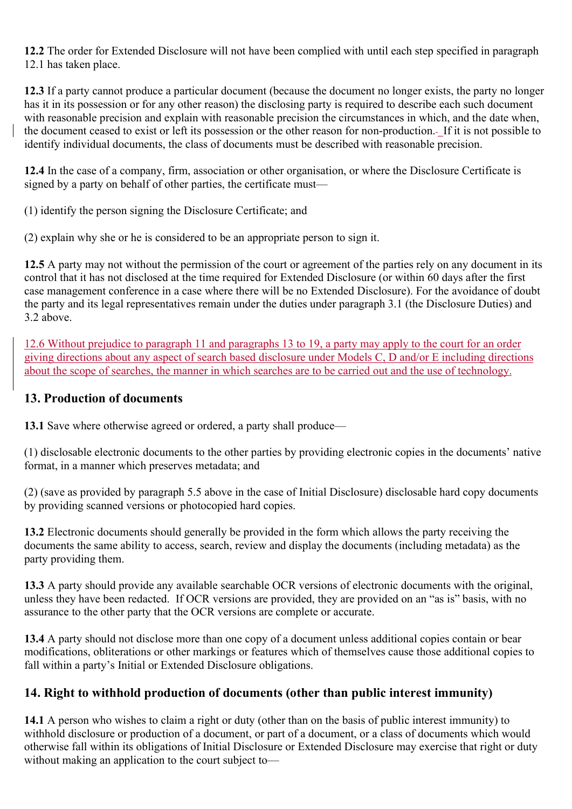12.2 The order for Extended Disclosure will not have been complied with until each step specified in paragraph 12.1 has taken place.

12.3 If a party cannot produce a particular document (because the document no longer exists, the party no longer has it in its possession or for any other reason) the disclosing party is required to describe each such document with reasonable precision and explain with reasonable precision the circumstances in which, and the date when, the document ceased to exist or left its possession or the other reason for non-production.- If it is not possible to identify individual documents, the class of documents must be described with reasonable precision.

 12.4 In the case of a company, firm, association or other organisation, or where the Disclosure Certificate is signed by a party on behalf of other parties, the certificate must—

(1) identify the person signing the Disclosure Certificate; and

(2) explain why she or he is considered to be an appropriate person to sign it.

12.5 A party may not without the permission of the court or agreement of the parties rely on any document in its control that it has not disclosed at the time required for Extended Disclosure (or within 60 days after the first case management conference in a case where there will be no Extended Disclosure). For the avoidance of doubt the party and its legal representatives remain under the duties under paragraph 3.1 (the Disclosure Duties) and 3.2 above.

 12.6 Without prejudice to paragraph 11 and paragraphs 13 to 19, a party may apply to the court for an order giving directions about any aspect of search based disclosure under Models C, D and/or E including directions about the scope of searches, the manner in which searches are to be carried out and the use of technology.

#### 13. Production of documents

13.1 Save where otherwise agreed or ordered, a party shall produce—

 (1) disclosable electronic documents to the other parties by providing electronic copies in the documents' native format, in a manner which preserves metadata; and

 (2) (save as provided by paragraph 5.5 above in the case of Initial Disclosure) disclosable hard copy documents by providing scanned versions or photocopied hard copies.

13.2 Electronic documents should generally be provided in the form which allows the party receiving the documents the same ability to access, search, review and display the documents (including metadata) as the party providing them.

13.3 A party should provide any available searchable OCR versions of electronic documents with the original, unless they have been redacted. If OCR versions are provided, they are provided on an "as is" basis, with no assurance to the other party that the OCR versions are complete or accurate.

13.4 A party should not disclose more than one copy of a document unless additional copies contain or bear modifications, obliterations or other markings or features which of themselves cause those additional copies to fall within a party's Initial or Extended Disclosure obligations.

## 14. Right to withhold production of documents (other than public interest immunity)

14.1 A person who wishes to claim a right or duty (other than on the basis of public interest immunity) to withhold disclosure or production of a document, or part of a document, or a class of documents which would otherwise fall within its obligations of Initial Disclosure or Extended Disclosure may exercise that right or duty without making an application to the court subject to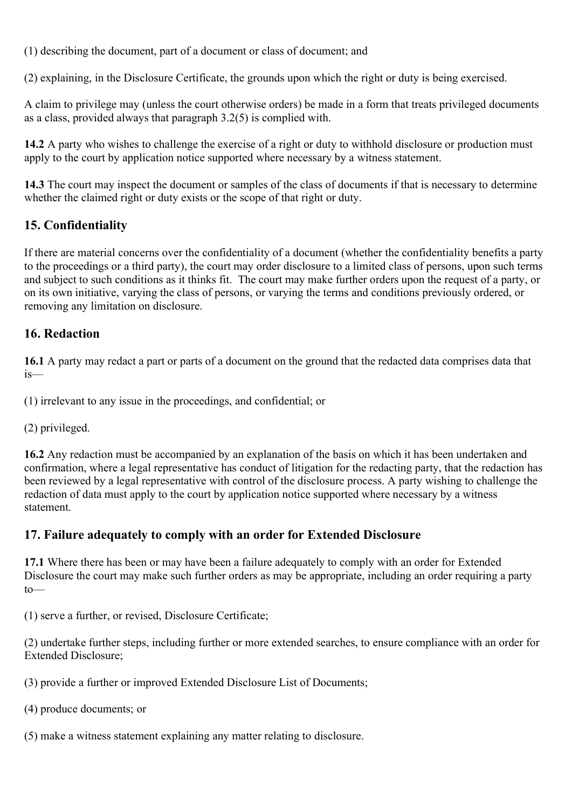(1) describing the document, part of a document or class of document; and

(2) explaining, in the Disclosure Certificate, the grounds upon which the right or duty is being exercised.

 A claim to privilege may (unless the court otherwise orders) be made in a form that treats privileged documents as a class, provided always that paragraph 3.2(5) is complied with.

14.2 A party who wishes to challenge the exercise of a right or duty to withhold disclosure or production must apply to the court by application notice supported where necessary by a witness statement.

14.3 The court may inspect the document or samples of the class of documents if that is necessary to determine whether the claimed right or duty exists or the scope of that right or duty.

## 15. Confidentiality

 If there are material concerns over the confidentiality of a document (whether the confidentiality benefits a party to the proceedings or a third party), the court may order disclosure to a limited class of persons, upon such terms and subject to such conditions as it thinks fit. The court may make further orders upon the request of a party, or on its own initiative, varying the class of persons, or varying the terms and conditions previously ordered, or removing any limitation on disclosure.

#### 16. Redaction

16.1 A party may redact a part or parts of a document on the ground that the redacted data comprises data that is—

(1) irrelevant to any issue in the proceedings, and confidential; or

(2) privileged.

16.2 Any redaction must be accompanied by an explanation of the basis on which it has been undertaken and confirmation, where a legal representative has conduct of litigation for the redacting party, that the redaction has been reviewed by a legal representative with control of the disclosure process. A party wishing to challenge the redaction of data must apply to the court by application notice supported where necessary by a witness statement.

## 17. Failure adequately to comply with an order for Extended Disclosure

17.1 Where there has been or may have been a failure adequately to comply with an order for Extended Disclosure the court may make such further orders as may be appropriate, including an order requiring a party  $to$ 

(1) serve a further, or revised, Disclosure Certificate;

 (2) undertake further steps, including further or more extended searches, to ensure compliance with an order for Extended Disclosure;

(3) provide a further or improved Extended Disclosure List of Documents;

(4) produce documents; or

(5) make a witness statement explaining any matter relating to disclosure.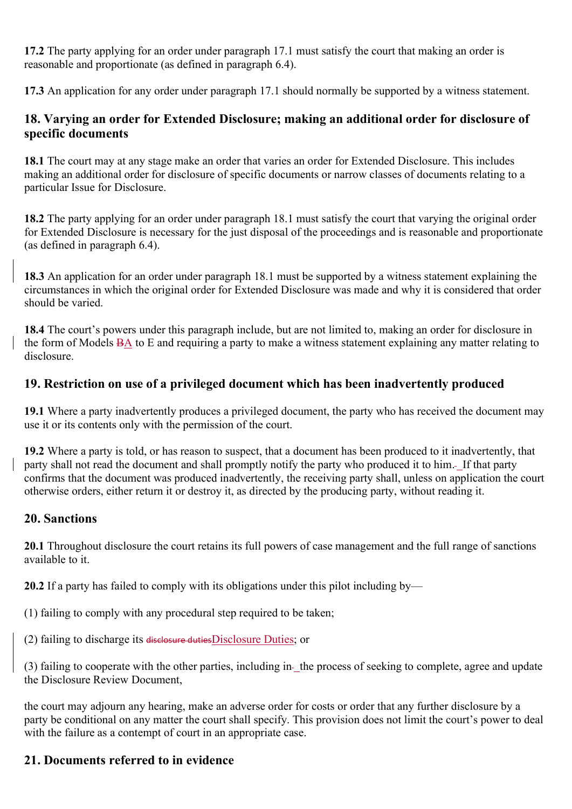17.2 The party applying for an order under paragraph 17.1 must satisfy the court that making an order is reasonable and proportionate (as defined in paragraph 6.4).

17.3 An application for any order under paragraph 17.1 should normally be supported by a witness statement.

#### 18. Varying an order for Extended Disclosure; making an additional order for disclosure of specific documents

18.1 The court may at any stage make an order that varies an order for Extended Disclosure. This includes making an additional order for disclosure of specific documents or narrow classes of documents relating to a particular Issue for Disclosure.

18.2 The party applying for an order under paragraph 18.1 must satisfy the court that varying the original order for Extended Disclosure is necessary for the just disposal of the proceedings and is reasonable and proportionate (as defined in paragraph 6.4).

18.3 An application for an order under paragraph 18.1 must be supported by a witness statement explaining the circumstances in which the original order for Extended Disclosure was made and why it is considered that order should be varied.

 18.4 The court's powers under this paragraph include, but are not limited to, making an order for disclosure in the form of Models  $B\underline{A}$  to E and requiring a party to make a witness statement explaining any matter relating to disclosure.

## 19. Restriction on use of a privileged document which has been inadvertently produced

 19.1 Where a party inadvertently produces a privileged document, the party who has received the document may use it or its contents only with the permission of the court.

19.2 Where a party is told, or has reason to suspect, that a document has been produced to it inadvertently, that party shall not read the document and shall promptly notify the party who produced it to him.-\_If that party confirms that the document was produced inadvertently, the receiving party shall, unless on application the court otherwise orders, either return it or destroy it, as directed by the producing party, without reading it.

## 20. Sanctions

20.1 Throughout disclosure the court retains its full powers of case management and the full range of sanctions available to it.

**20.2** If a party has failed to comply with its obligations under this pilot including by—

(1) failing to comply with any procedural step required to be taken;

(2) failing to discharge its disclosure duties Disclosure Duties; or

(3) failing to cooperate with the other parties, including in-the process of seeking to complete, agree and update the Disclosure Review Document,

 the court may adjourn any hearing, make an adverse order for costs or order that any further disclosure by a party be conditional on any matter the court shall specify. This provision does not limit the court's power to deal with the failure as a contempt of court in an appropriate case.

# 21. Documents referred to in evidence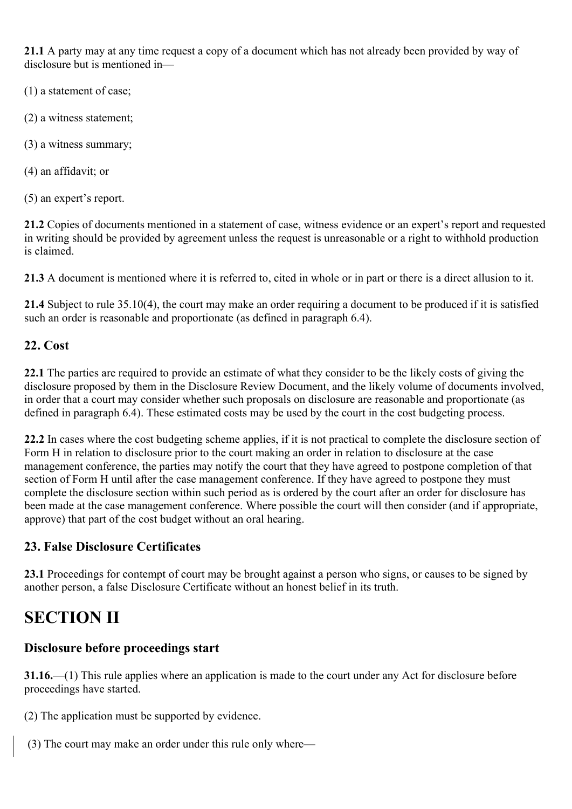21.1 A party may at any time request a copy of a document which has not already been provided by way of disclosure but is mentioned in—

- (1) a statement of case;
- (2) a witness statement;
- (3) a witness summary;
- (4) an affidavit; or
- (5) an expert's report.

21.2 Copies of documents mentioned in a statement of case, witness evidence or an expert's report and requested in writing should be provided by agreement unless the request is unreasonable or a right to withhold production is claimed.

21.3 A document is mentioned where it is referred to, cited in whole or in part or there is a direct allusion to it.

21.4 Subject to rule 35.10(4), the court may make an order requiring a document to be produced if it is satisfied such an order is reasonable and proportionate (as defined in paragraph 6.4).

## 22. Cost

22.1 The parties are required to provide an estimate of what they consider to be the likely costs of giving the disclosure proposed by them in the Disclosure Review Document, and the likely volume of documents involved, in order that a court may consider whether such proposals on disclosure are reasonable and proportionate (as defined in paragraph 6.4). These estimated costs may be used by the court in the cost budgeting process.

22.2 In cases where the cost budgeting scheme applies, if it is not practical to complete the disclosure section of Form H in relation to disclosure prior to the court making an order in relation to disclosure at the case management conference, the parties may notify the court that they have agreed to postpone completion of that section of Form H until after the case management conference. If they have agreed to postpone they must complete the disclosure section within such period as is ordered by the court after an order for disclosure has been made at the case management conference. Where possible the court will then consider (and if appropriate, approve) that part of the cost budget without an oral hearing.

# 23. False Disclosure Certificates

23.1 Proceedings for contempt of court may be brought against a person who signs, or causes to be signed by another person, a false Disclosure Certificate without an honest belief in its truth.

# SECTION II

# Disclosure before proceedings start

**31.16.—(1)** This rule applies where an application is made to the court under any Act for disclosure before proceedings have started.

(2) The application must be supported by evidence.

(3) The court may make an order under this rule only where—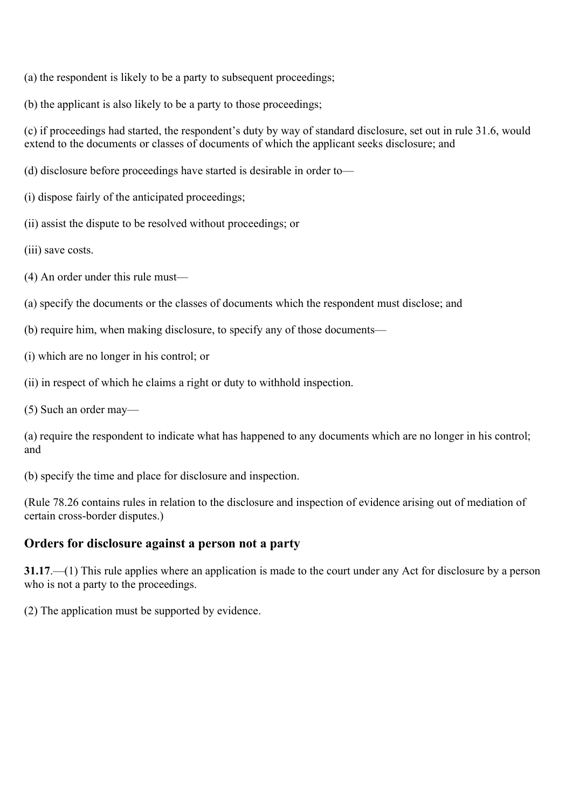(a) the respondent is likely to be a party to subsequent proceedings;

(b) the applicant is also likely to be a party to those proceedings;

 (c) if proceedings had started, the respondent's duty by way of standard disclosure, set out in rule 31.6, would extend to the documents or classes of documents of which the applicant seeks disclosure; and

(d) disclosure before proceedings have started is desirable in order to—

(i) dispose fairly of the anticipated proceedings;

(ii) assist the dispute to be resolved without proceedings; or

(iii) save costs.

(4) An order under this rule must—

(a) specify the documents or the classes of documents which the respondent must disclose; and

(b) require him, when making disclosure, to specify any of those documents—

(i) which are no longer in his control; or

(ii) in respect of which he claims a right or duty to withhold inspection.

(5) Such an order may—

 (a) require the respondent to indicate what has happened to any documents which are no longer in his control; and

(b) specify the time and place for disclosure and inspection.

 (Rule 78.26 contains rules in relation to the disclosure and inspection of evidence arising out of mediation of certain cross-border disputes.)

#### Orders for disclosure against a person not a party

 $31.17$ —(1) This rule applies where an application is made to the court under any Act for disclosure by a person who is not a party to the proceedings.

(2) The application must be supported by evidence.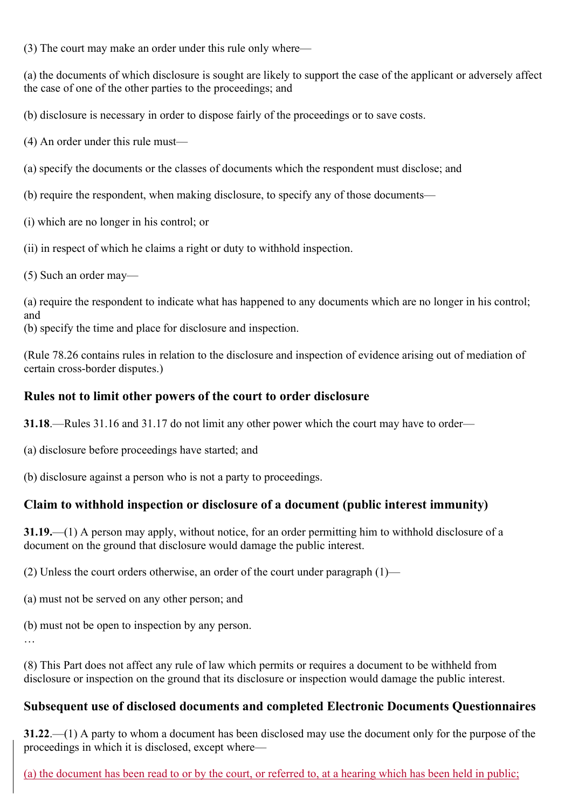(3) The court may make an order under this rule only where—

 (a) the documents of which disclosure is sought are likely to support the case of the applicant or adversely affect the case of one of the other parties to the proceedings; and

(b) disclosure is necessary in order to dispose fairly of the proceedings or to save costs.

(4) An order under this rule must—

(a) specify the documents or the classes of documents which the respondent must disclose; and

(b) require the respondent, when making disclosure, to specify any of those documents—

(i) which are no longer in his control; or

(ii) in respect of which he claims a right or duty to withhold inspection.

(5) Such an order may—

 (a) require the respondent to indicate what has happened to any documents which are no longer in his control; and

(b) specify the time and place for disclosure and inspection.

 (Rule 78.26 contains rules in relation to the disclosure and inspection of evidence arising out of mediation of certain cross-border disputes.)

#### Rules not to limit other powers of the court to order disclosure

31.18.—Rules 31.16 and 31.17 do not limit any other power which the court may have to order—

(a) disclosure before proceedings have started; and

(b) disclosure against a person who is not a party to proceedings.

# Claim to withhold inspection or disclosure of a document (public interest immunity)

31.19.—(1) A person may apply, without notice, for an order permitting him to withhold disclosure of a document on the ground that disclosure would damage the public interest.

(2) Unless the court orders otherwise, an order of the court under paragraph (1)—

(a) must not be served on any other person; and

(b) must not be open to inspection by any person.

…

 (8) This Part does not affect any rule of law which permits or requires a document to be withheld from disclosure or inspection on the ground that its disclosure or inspection would damage the public interest.

#### Subsequent use of disclosed documents and completed Electronic Documents Questionnaires

**31.22.**—(1) A party to whom a document has been disclosed may use the document only for the purpose of the proceedings in which it is disclosed, except where—

(a) the document has been read to or by the court, or referred to, at a hearing which has been held in public;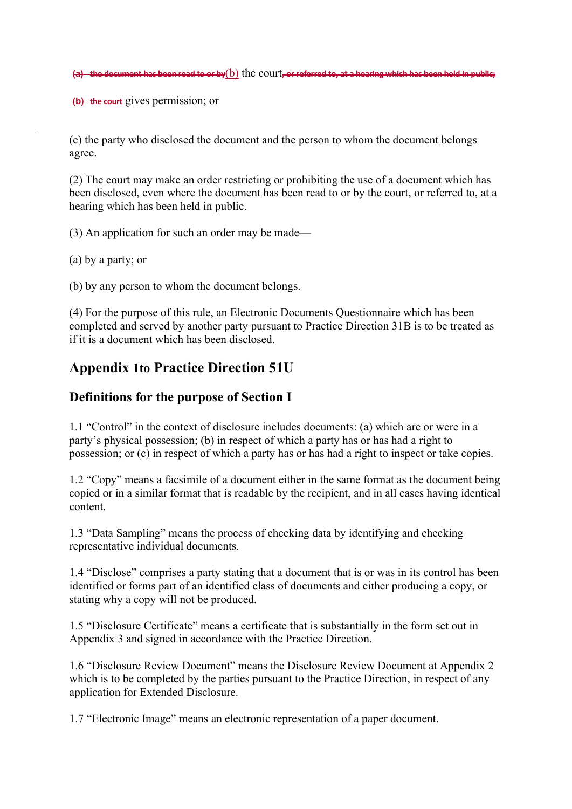ł ) en read to or by $(\mathrm{b})$  the court<del>, or referred to, at</del>

(b) the court gives permission; or

 (c) the party who disclosed the document and the person to whom the document belongs agree.

 (2) The court may make an order restricting or prohibiting the use of a document which has been disclosed, even where the document has been read to or by the court, or referred to, at a hearing which has been held in public.

(3) An application for such an order may be made—

(a) by a party; or

(b) by any person to whom the document belongs.

 (4) For the purpose of this rule, an Electronic Documents Questionnaire which has been completed and served by another party pursuant to Practice Direction 31B is to be treated as if it is a document which has been disclosed.

## Appendix 1to Practice Direction 51U

#### Definitions for the purpose of Section I

 1.1 "Control" in the context of disclosure includes documents: (a) which are or were in a party's physical possession; (b) in respect of which a party has or has had a right to possession; or (c) in respect of which a party has or has had a right to inspect or take copies.

 1.2 "Copy" means a facsimile of a document either in the same format as the document being copied or in a similar format that is readable by the recipient, and in all cases having identical content.

 1.3 "Data Sampling" means the process of checking data by identifying and checking representative individual documents.

 1.4 "Disclose" comprises a party stating that a document that is or was in its control has been identified or forms part of an identified class of documents and either producing a copy, or stating why a copy will not be produced.

 1.5 "Disclosure Certificate" means a certificate that is substantially in the form set out in Appendix 3 and signed in accordance with the Practice Direction.

 1.6 "Disclosure Review Document" means the Disclosure Review Document at Appendix 2 which is to be completed by the parties pursuant to the Practice Direction, in respect of any application for Extended Disclosure.

1.7 "Electronic Image" means an electronic representation of a paper document.